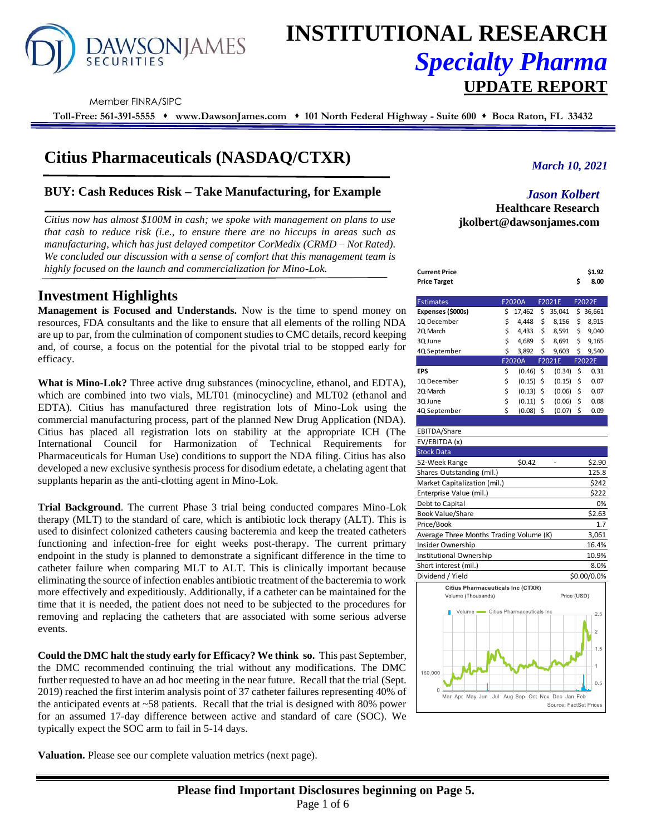

# **INSTITUTIONAL RESEARCH** *Specialty Pharma*  **UPDATE REPORT**

Member FINRA/SIPC

**Toll-Free: 561-391-5555** ⬧ **www.DawsonJames.com** ⬧ **101 North Federal Highway - Suite 600** ⬧ **Boca Raton, FL 33432**

# **Citius Pharmaceuticals (NASDAQ/CTXR)**

## **BUY: Cash Reduces Risk – Take Manufacturing, for Example**

*Citius now has almost \$100M in cash; we spoke with management on plans to use that cash to reduce risk (i.e., to ensure there are no hiccups in areas such as manufacturing, which has just delayed competitor CorMedix (CRMD – Not Rated). We concluded our discussion with a sense of comfort that this management team is highly focused on the launch and commercialization for Mino-Lok.*

# **Investment Highlights**

**Management is Focused and Understands.** Now is the time to spend money on resources, FDA consultants and the like to ensure that all elements of the rolling NDA are up to par, from the culmination of component studies to CMC details, record keeping and, of course, a focus on the potential for the pivotal trial to be stopped early for efficacy.

**What is Mino-Lok?** Three active drug substances (minocycline, ethanol, and EDTA), which are combined into two vials, MLT01 (minocycline) and MLT02 (ethanol and EDTA). Citius has manufactured three registration lots of Mino-Lok using the commercial manufacturing process, part of the planned New Drug Application (NDA). Citius has placed all registration lots on stability at the appropriate ICH (The International Council for Harmonization of Technical Requirements for Pharmaceuticals for Human Use) conditions to support the NDA filing. Citius has also developed a new exclusive synthesis process for disodium edetate, a chelating agent that supplants heparin as the anti-clotting agent in Mino-Lok.

**Trial Background**. The current Phase 3 trial being conducted compares Mino-Lok therapy (MLT) to the standard of care, which is antibiotic lock therapy (ALT). This is used to disinfect colonized catheters causing bacteremia and keep the treated catheters functioning and infection-free for eight weeks post-therapy. The current primary endpoint in the study is planned to demonstrate a significant difference in the time to catheter failure when comparing MLT to ALT. This is clinically important because eliminating the source of infection enables antibiotic treatment of the bacteremia to work more effectively and expeditiously. Additionally, if a catheter can be maintained for the time that it is needed, the patient does not need to be subjected to the procedures for removing and replacing the catheters that are associated with some serious adverse events.

**Could the DMC halt the study early for Efficacy? We think so.** This past September, the DMC recommended continuing the trial without any modifications. The DMC further requested to have an ad hoc meeting in the near future. Recall that the trial (Sept. 2019) reached the first interim analysis point of 37 catheter failures representing 40% of the anticipated events at  $\sim$ 58 patients. Recall that the trial is designed with 80% power for an assumed 17-day difference between active and standard of care (SOC). We typically expect the SOC arm to fail in 5-14 days.

**Valuation.** Please see our complete valuation metrics (next page).

*March 10, 2021*

### *Jason Kolbert* **Healthcare Research jkolbert@dawsonjames.com**

| Current Price | \$1.92 |
|---------------|--------|
| Price Target  | 8.00   |

| <b>Estimates</b>  | <b>F2020A</b> |        | F2021E |        |               | F2022E |
|-------------------|---------------|--------|--------|--------|---------------|--------|
| Expenses (\$000s) | \$            | 17.462 | \$     | 35.041 | $\frac{1}{2}$ | 36,661 |
| 1Q December       | \$            | 4.448  | \$     | 8,156  | \$            | 8,915  |
| 2Q March          | \$            | 4.433  | \$     | 8,591  | \$            | 9.040  |
| 3Q June           | \$            | 4,689  | \$     | 8,691  | \$            | 9.165  |
| 4Q September      | \$            | 3,892  | \$     | 9,603  | \$            | 9,540  |
|                   |               | F2020A |        | F2021E |               | F2022E |
| EPS               | \$            | (0.46) | \$     | (0.34) | Ś             | 0.31   |
| 1Q December       | \$            | (0.15) | \$     | (0.15) | \$            | 0.07   |
| 2Q March          | \$            | (0.13) | \$     | (0.06) | \$            | 0.07   |
| 3Q June           | \$            | (0.11) | \$     | (0.06) | Ś             | 0.08   |
| 4Q September      | Ś             | (0.08) | \$     | (0.07) | \$            | 0.09   |

#### EBITDA/Share

| EV/EBITDA (x)                            |             |
|------------------------------------------|-------------|
| <b>Stock Data</b>                        |             |
| \$0.42<br>52-Week Range                  | \$2.90      |
| Shares Outstanding (mil.)                | 125.8       |
| Market Capitalization (mil.)             | \$242       |
| Enterprise Value (mil.)                  | \$222       |
| Debt to Capital                          | 0%          |
| <b>Book Value/Share</b>                  | \$2.63      |
| Price/Book                               | 1.7         |
| Average Three Months Trading Volume (K)  | 3,061       |
| Insider Ownership                        | 16.4%       |
| Institutional Ownership                  | 10.9%       |
| Short interest (mil.)                    | 8.0%        |
| Dividend / Yield                         | \$0.00/0.0% |
| <b>Citius Pharmaceuticals Inc (CTXR)</b> |             |
| Volume (Thousands)                       | Price (USD) |
| Volume Citius Pharmaceuticals Inc        | 2.5         |



**Please find Important Disclosures beginning on Page 5.** Page 1 of 6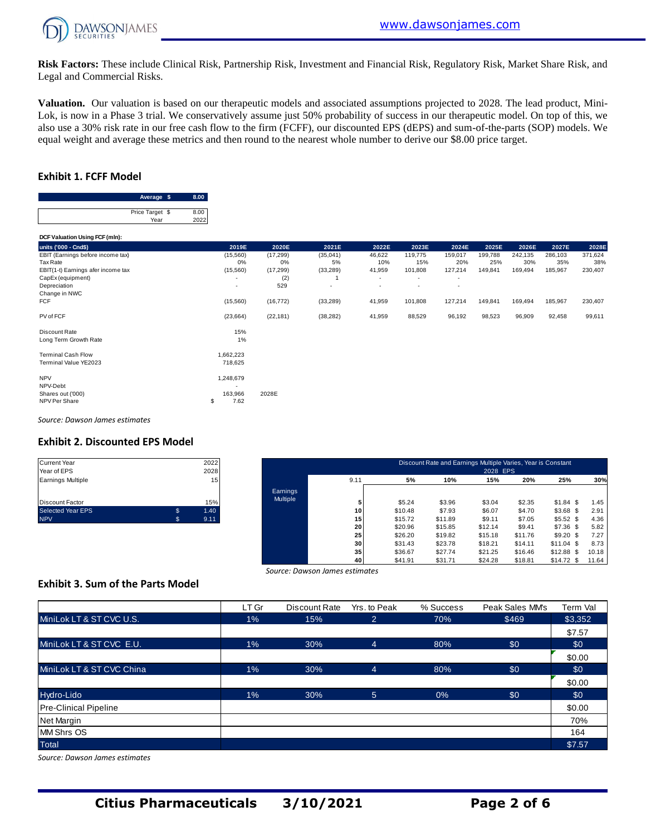

**Risk Factors:** These include Clinical Risk, Partnership Risk, Investment and Financial Risk, Regulatory Risk, Market Share Risk, and Legal and Commercial Risks.

**Valuation.** Our valuation is based on our therapeutic models and associated assumptions projected to 2028. The lead product, Mini-Lok, is now in a Phase 3 trial. We conservatively assume just 50% probability of success in our therapeutic model. On top of this, we also use a 30% risk rate in our free cash flow to the firm (FCFF), our discounted EPS (dEPS) and sum-of-the-parts (SOP) models. We equal weight and average these metrics and then round to the nearest whole number to derive our \$8.00 price target.

#### **Exhibit 1. FCFF Model**

| Average \$      | 8.00 |
|-----------------|------|
|                 |      |
| Price Target \$ | 8.00 |
| Year            | 2022 |

| Price Target \$<br>Year            | 8.00<br>2022 |           |           |                          |                          |                          |         |         |         |         |
|------------------------------------|--------------|-----------|-----------|--------------------------|--------------------------|--------------------------|---------|---------|---------|---------|
| DCF Valuation Using FCF (mln):     |              |           |           |                          |                          |                          |         |         |         |         |
| units ('000 - Cnd\$)               | 2019E        | 2020E     | 2021E     | 2022E                    | 2023E                    | 2024E                    | 2025E   | 2026E   | 2027E   | 2028E   |
| EBIT (Earnings before income tax)  | (15, 560)    | (17, 299) | (35,041)  | 46,622                   | 119,775                  | 159,017                  | 199,788 | 242,135 | 286,103 | 371,624 |
| Tax Rate                           | 0%           | 0%        | 5%        | 10%                      | 15%                      | 20%                      | 25%     | 30%     | 35%     | 38%     |
| EBIT(1-t) Earnings afer income tax | (15,560)     | (17, 299) | (33, 289) | 41,959                   | 101,808                  | 127,214                  | 149,841 | 169,494 | 185,967 | 230,407 |
| CapEx (equipment)                  |              | (2)       |           | $\overline{\phantom{a}}$ | ٠                        | $\overline{\phantom{a}}$ |         |         |         |         |
| Depreciation                       |              | 529       | ٠         | $\overline{\phantom{a}}$ | $\overline{\phantom{a}}$ | $\overline{\phantom{a}}$ |         |         |         |         |
| Change in NWC                      |              |           |           |                          |                          |                          |         |         |         |         |
| <b>FCF</b>                         | (15, 560)    | (16, 772) | (33, 289) | 41,959                   | 101,808                  | 127,214                  | 149,841 | 169,494 | 185,967 | 230,407 |
| PV of FCF                          | (23, 664)    | (22, 181) | (38, 282) | 41,959                   | 88,529                   | 96,192                   | 98,523  | 96,909  | 92,458  | 99,611  |
| Discount Rate                      | 15%          |           |           |                          |                          |                          |         |         |         |         |
| Long Term Growth Rate              | 1%           |           |           |                          |                          |                          |         |         |         |         |
| <b>Terminal Cash Flow</b>          | 1,662,223    |           |           |                          |                          |                          |         |         |         |         |
| Terminal Value YE2023              | 718,625      |           |           |                          |                          |                          |         |         |         |         |
| <b>NPV</b>                         | 1,248,679    |           |           |                          |                          |                          |         |         |         |         |
| NPV-Debt                           |              |           |           |                          |                          |                          |         |         |         |         |
| Shares out ('000)                  | 163,966      | 2028E     |           |                          |                          |                          |         |         |         |         |
| NPV Per Share                      | 7.62<br>\$   |           |           |                          |                          |                          |         |         |         |         |

*Source: Dawson James estimates*

#### **Exhibit 2. Discounted EPS Model**

| <b>Current Year</b>      |    | 2022 |
|--------------------------|----|------|
| Year of EPS              |    | 2028 |
| <b>Earnings Multiple</b> |    | 15   |
| <b>Discount Factor</b>   |    | 15%  |
| <b>Selected Year EPS</b> | S  | 1.40 |
| <b>NPV</b>               | S. | 9.11 |

| Current Year<br>Year of EPS |    | 2022<br>2028 |                 |                 |         | Discount Rate and Earnings Multiple Varies, Year is Constant | 2028 EPS |         |             |       |
|-----------------------------|----|--------------|-----------------|-----------------|---------|--------------------------------------------------------------|----------|---------|-------------|-------|
| Earnings Multiple           |    | 15           |                 | 9.11            | 5%      | 10%                                                          | 15%      | 20%     | 25%         | 30%   |
|                             |    |              | <b>Earnings</b> |                 |         |                                                              |          |         |             |       |
| Discount Factor             |    | 15%          | Multiple        |                 | \$5.24  | \$3.96                                                       | \$3.04   | \$2.35  | $$1.84$ \$  | 1.45  |
| Selected Year EPS           | \$ | 1.40         |                 | 10 <sup>1</sup> | \$10.48 | \$7.93                                                       | \$6.07   | \$4.70  | $$3.68$ \$  | 2.91  |
| <b>NPV</b>                  | S  | 9.11         |                 | 15 <sub>1</sub> | \$15.72 | \$11.89                                                      | \$9.11   | \$7.05  | \$5.52\$    | 4.36  |
|                             |    |              |                 | 20              | \$20.96 | \$15.85                                                      | \$12.14  | \$9.41  | $$7.36$ \$  | 5.82  |
|                             |    |              |                 | 25              | \$26.20 | \$19.82                                                      | \$15.18  | \$11.76 | $$9.20$ \$  | 7.27  |
|                             |    |              |                 | 30 <sup>1</sup> | \$31.43 | \$23.78                                                      | \$18.21  | \$14.11 | $$11.04$ \$ | 8.73  |
|                             |    |              |                 | 35              | \$36.67 | \$27.74                                                      | \$21.25  | \$16.46 | $$12.88$ \$ | 10.18 |
|                             |    |              |                 | 40              | \$41.91 | \$31.71                                                      | \$24.28  | \$18.81 | $$14.72$ \$ | 11.64 |

#### **Exhibit 3. Sum of the Parts Model**

| Source: Dawson James estimates           |       |               |                |           |                 |          |  |  |  |  |  |  |  |
|------------------------------------------|-------|---------------|----------------|-----------|-----------------|----------|--|--|--|--|--|--|--|
| <b>Exhibit 3. Sum of the Parts Model</b> |       |               |                |           |                 |          |  |  |  |  |  |  |  |
|                                          | LT Gr | Discount Rate | Yrs. to Peak   | % Success | Peak Sales MM's | Term Val |  |  |  |  |  |  |  |
| MiniLok LT & ST CVC U.S.                 | $1\%$ | 15%           | $\overline{2}$ | 70%       | \$469           | \$3,352  |  |  |  |  |  |  |  |
|                                          |       |               |                |           |                 | \$7.57   |  |  |  |  |  |  |  |
| MiniLok LT & ST CVC E.U.                 | $1\%$ | 30%           | $\overline{4}$ | 80%       | \$0             | \$0      |  |  |  |  |  |  |  |
|                                          |       |               |                |           |                 | \$0.00   |  |  |  |  |  |  |  |
| MiniLok LT & ST CVC China                | $1\%$ | 30%           | $\overline{4}$ | 80%       | \$0             | \$0      |  |  |  |  |  |  |  |
|                                          |       |               |                |           |                 | \$0.00   |  |  |  |  |  |  |  |
| Hydro-Lido                               | $1\%$ | 30%           | 5 <sup>5</sup> | 0%        | \$0             | \$0      |  |  |  |  |  |  |  |
| <b>Pre-Clinical Pipeline</b>             |       |               |                |           |                 | \$0.00   |  |  |  |  |  |  |  |
| Net Margin                               |       |               |                |           |                 | 70%      |  |  |  |  |  |  |  |
| <b>MM Shrs OS</b>                        |       |               |                |           |                 | 164      |  |  |  |  |  |  |  |
| <b>Total</b>                             |       |               |                |           |                 | \$7.57   |  |  |  |  |  |  |  |

*Source: Dawson James estimates*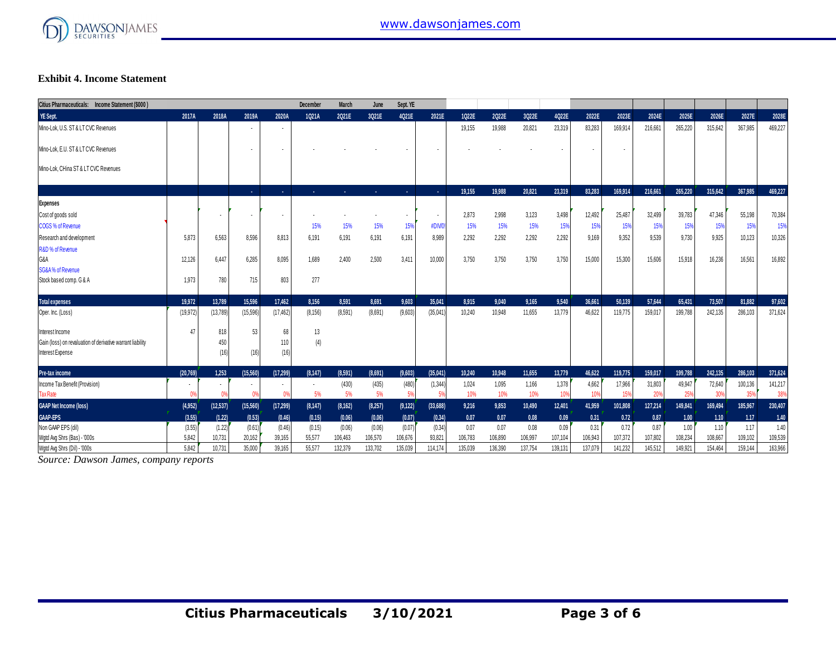

#### **Exhibit 4. Income Statement**

| Citius Pharmaceuticals: Income Statement (\$000)           |           |           |                |                | December | <b>March</b> | June    | Sept. YE |           |         |         |         |         |         |         |         |         |         |         |         |
|------------------------------------------------------------|-----------|-----------|----------------|----------------|----------|--------------|---------|----------|-----------|---------|---------|---------|---------|---------|---------|---------|---------|---------|---------|---------|
| YE Sept.                                                   | 2017A     | 2018A     | 2019A          | 2020A          | 1021A    | 2021E        | 3Q21E   | 4Q21E    | 2021E     | 1022E   | 2022E   | 3022E   | 4022E   | 2022E   | 2023E   | 2024E   | 2025E   | 2026E   | 2027E   | 2028E   |
| Mino-Lok, U.S. ST & LT CVC Revenues                        |           |           | $\cdot$        | $\blacksquare$ |          |              |         |          |           | 19,155  | 19,988  | 20,821  | 23,319  | 83.283  | 169.914 | 216.661 | 265,220 | 315,642 | 367.985 | 469,227 |
| Mino-Lok. E.U. ST & LT CVC Revenues                        |           |           |                | ٠              |          |              |         |          |           |         |         |         |         |         |         |         |         |         |         |         |
| Mino-Lok. CHina ST & LT CVC Revenues                       |           |           |                |                |          |              |         |          |           |         |         |         |         |         |         |         |         |         |         |         |
|                                                            |           |           | $\sim$         | ×.             | ×.       | . .          | ×.      | m.       | 14.1      | 19,155  | 19,988  | 20.821  | 23,319  | 83.283  | 169,914 | 216,661 | 265.220 | 315,642 | 367,985 | 469.227 |
| <b>Expenses</b>                                            |           |           |                |                |          |              |         |          |           |         |         |         |         |         |         |         |         |         |         |         |
| Cost of goods sold                                         |           |           |                |                |          |              |         |          | $\sim$    | 2.873   | 2,998   | 3.123   | 3.498   | 12.492  | 25,487  | 32.499  | 39.783  | 47.346  | 55.198  | 70,384  |
| COGS % of Revenue                                          |           |           |                |                | 15%      | 15%          | 15%     | 15%      | #DIV/0    | 15%     | 15%     | 15%     | 15%     | 15%     | 15%     | 15%     | 15%     | 15%     | 15%     | 15%     |
| Research and development                                   | 5.873     | 6.563     | 8,596          | 8,813          | 6,191    | 6,191        | 6,191   | 6.191    | 8,989     | 2.292   | 2,292   | 2,292   | 2,292   | 9.169   | 9,352   | 9,539   | 9,730   | 9,925   | 10,123  | 10,326  |
| R&D % of Revenue                                           |           |           |                |                |          |              |         |          |           |         |         |         |         |         |         |         |         |         |         |         |
| G&A                                                        | 12.126    | 6.447     | 6.285          | 8,095          | 1,689    | 2,400        | 2,500   | 3,411    | 10,000    | 3.750   | 3,750   | 3,750   | 3.750   | 15.000  | 15.300  | 15.606  | 15,918  | 16,236  | 16,561  | 16,892  |
| <b>SG&amp;A% of Revenue</b>                                |           |           |                |                |          |              |         |          |           |         |         |         |         |         |         |         |         |         |         |         |
| Stock based comp. G & A                                    | 1,973     | 780       | 715            | 803            | 277      |              |         |          |           |         |         |         |         |         |         |         |         |         |         |         |
| <b>Total expenses</b>                                      | 19,972    | 13.789    | 15,596         | 17,462         | 8,156    | 8,591        | 8,691   | 9,603    | 35,041    | 8.915   | 9,040   | 9.165   | 9,540   | 36,661  | 50.139  | 57.644  | 65,431  | 73,507  | 81,882  | 97,602  |
| Oper. Inc. (Loss)                                          | (19, 972) | (13, 789) | (15, 596)      | (17, 462)      | (8, 156) | (8,591)      | (8,691) | (9,603)  | (35,041)  | 10.240  | 10,948  | 11.655  | 13.779  | 46.622  | 119.775 | 159.017 | 199.788 | 242,135 | 286,103 | 371,624 |
| Interest Income                                            | 47        | 818       | 53             | 68             | 13       |              |         |          |           |         |         |         |         |         |         |         |         |         |         |         |
| Gain (loss) on revaluation of derivative warrant liability |           | 450       |                | 110            | (4)      |              |         |          |           |         |         |         |         |         |         |         |         |         |         |         |
| Interest Expense                                           |           | (16)      | (16)           | (16)           |          |              |         |          |           |         |         |         |         |         |         |         |         |         |         |         |
| Pre-tax income                                             | (20.769)  | 1.253     | (15, 560)      | (17, 299)      | (8, 147) | (8,591)      | (8,691) | (9,603)  | (35,041)  | 10.240  | 10.948  | 11.655  | 13,779  | 46.622  | 119,775 | 159.017 | 199,788 | 242.135 | 286,103 | 371,624 |
| Income Tax Benefit (Provision)                             | ٠         | $\sim$    | $\sim$         | ٠              |          | (430)        | (435)   | (480)    | (1, 344)  | 1,024   | 1,095   | 1,166   | 1,378   | 4,662   | 17,966  | 31,803  | 49,947  | 72,640  | 100,136 | 141,217 |
| <b>Tax Rate</b>                                            | 0%        | 0%        | 0 <sup>9</sup> | $^{\circ}$     | 5%       | 5%           | 5%      | 5%       | 5%        | 10%     | 10%     | 10%     | 10%     | 10%     | 15%     | 20%     | 25%     | 30%     | 35%     | 38%     |
| <b>GAAP Net Income (loss)</b>                              | (4,952)   | (12, 537) | (15,560)       | (17, 299)      | (8, 147) | (8, 162)     | (8,257) | (9, 122) | (33, 688) | 9,216   | 9,853   | 10,490  | 12,401  | 41,959  | 101,808 | 127,214 | 149,841 | 169,494 | 185,967 | 230,407 |
| <b>GAAP-EPS</b>                                            | (3.55)    | (1.22)    | (0.53)         | (0.46)         | (0.15)   | (0.06)       | (0.06)  | (0.07)   | (0.34)    | 0.07    | 0.07    | 0.08    | 0.09    | 0.31    | 0.72    | 0.87    | 1.00    | 1.10    | 1.17    | 1.40    |
| Non GAAP EPS (dil)                                         | (3.55)    | (1.22)    | (0.61)         | (0.46)         | (0.15)   | (0.06)       | (0.06)  | (0.07)   | (0.34)    | 0.07    | 0.07    | 0.08    | 0.09    | 0.31    | 0.72    | 0.87    | 1.00    | 1.10    | 1.17    | 1.40    |
| Wgtd Avg Shrs (Bas) - '000s                                | 5,842     | 10,731    | 20,162         | 39,165         | 55,577   | 106,463      | 106,570 | 106,676  | 93,821    | 106,783 | 106,890 | 106,997 | 107,104 | 106,943 | 107,372 | 107,802 | 108,234 | 108,667 | 109,102 | 109,539 |
| Watd Ava Shrs (Dil) - '000s                                | 5.842     | 10.731    | 35,000         | 39.165         | 55.577   | 132,379      | 133.702 | 135.039  | 114.174   | 135.039 | 136,390 | 137.754 | 139.131 | 137.079 | 141.232 | 145.512 | 149.921 | 154.464 | 159.144 | 163.966 |

*Source: Dawson James, company reports*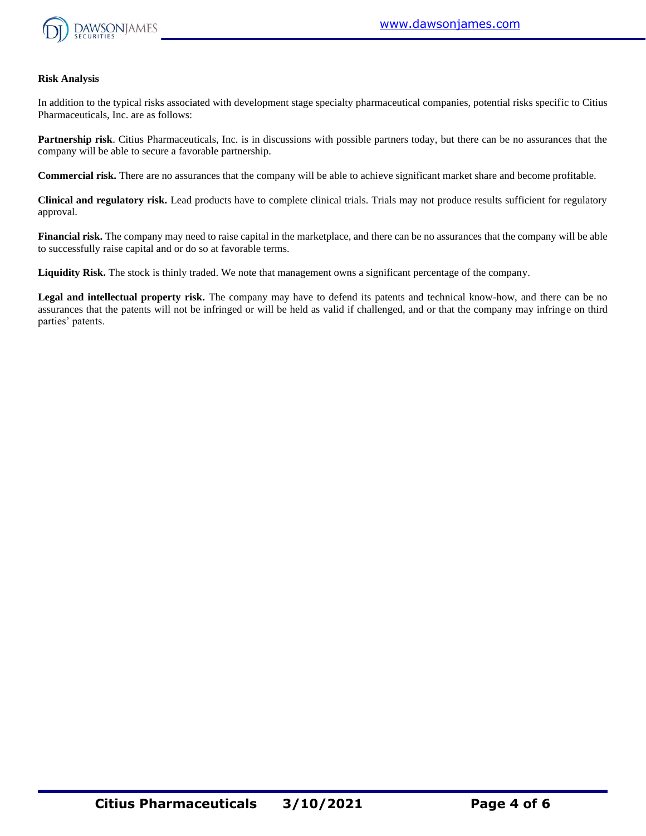

#### **Risk Analysis**

In addition to the typical risks associated with development stage specialty pharmaceutical companies, potential risks specific to Citius Pharmaceuticals, Inc. are as follows:

**Partnership risk**. Citius Pharmaceuticals, Inc. is in discussions with possible partners today, but there can be no assurances that the company will be able to secure a favorable partnership.

**Commercial risk.** There are no assurances that the company will be able to achieve significant market share and become profitable.

**Clinical and regulatory risk.** Lead products have to complete clinical trials. Trials may not produce results sufficient for regulatory approval.

**Financial risk.** The company may need to raise capital in the marketplace, and there can be no assurances that the company will be able to successfully raise capital and or do so at favorable terms.

**Liquidity Risk.** The stock is thinly traded. We note that management owns a significant percentage of the company.

**Legal and intellectual property risk.** The company may have to defend its patents and technical know-how, and there can be no assurances that the patents will not be infringed or will be held as valid if challenged, and or that the company may infringe on third parties' patents.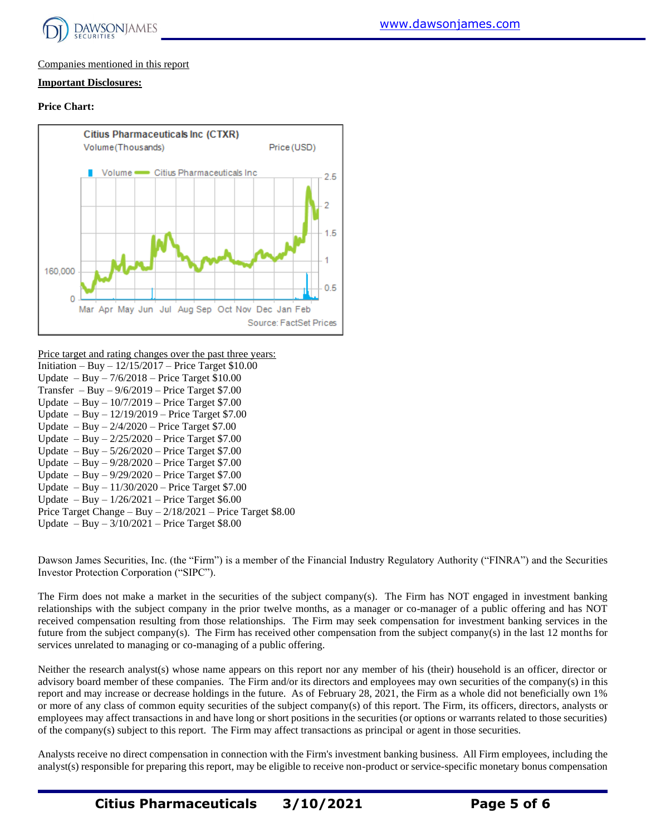

#### Companies mentioned in this report

#### **Important Disclosures:**

#### **Price Chart:**



#### Price target and rating changes over the past three years:

| Initiation – Buy – $12/15/2017$ – Price Target \$10.00       |
|--------------------------------------------------------------|
| Update $-$ Buy $- 7/6/2018$ – Price Target \$10.00           |
| Transfer $-$ Buy $-$ 9/6/2019 – Price Target \$7.00          |
| Update $-$ Buy $-$ 10/7/2019 $-$ Price Target \$7.00         |
| Update $-$ Buy $-$ 12/19/2019 – Price Target \$7.00          |
| Update $-$ Buy $- 2/4/2020$ – Price Target \$7.00            |
| Update $-$ Buy $- 2/25/2020$ – Price Target \$7.00           |
| Update $-$ Buy $-$ 5/26/2020 $-$ Price Target \$7.00         |
| Update $-$ Buy $-$ 9/28/2020 $-$ Price Target \$7.00         |
| Update $-$ Buy $-$ 9/29/2020 $-$ Price Target \$7.00         |
| Update $-$ Buy $-$ 11/30/2020 $-$ Price Target \$7.00        |
| Update $-$ Buy $-$ 1/26/2021 $-$ Price Target \$6.00         |
| Price Target Change - Buy $-2/18/2021$ - Price Target \$8.00 |
| Update $-$ Buy $-$ 3/10/2021 $-$ Price Target \$8.00         |

Dawson James Securities, Inc. (the "Firm") is a member of the Financial Industry Regulatory Authority ("FINRA") and the Securities Investor Protection Corporation ("SIPC").

The Firm does not make a market in the securities of the subject company(s). The Firm has NOT engaged in investment banking relationships with the subject company in the prior twelve months, as a manager or co-manager of a public offering and has NOT received compensation resulting from those relationships. The Firm may seek compensation for investment banking services in the future from the subject company(s). The Firm has received other compensation from the subject company(s) in the last 12 months for services unrelated to managing or co-managing of a public offering.

Neither the research analyst(s) whose name appears on this report nor any member of his (their) household is an officer, director or advisory board member of these companies. The Firm and/or its directors and employees may own securities of the company(s) in this report and may increase or decrease holdings in the future. As of February 28, 2021, the Firm as a whole did not beneficially own 1% or more of any class of common equity securities of the subject company(s) of this report. The Firm, its officers, directors, analysts or employees may affect transactions in and have long or short positions in the securities (or options or warrants related to those securities) of the company(s) subject to this report. The Firm may affect transactions as principal or agent in those securities.

Analysts receive no direct compensation in connection with the Firm's investment banking business. All Firm employees, including the analyst(s) responsible for preparing this report, may be eligible to receive non-product or service-specific monetary bonus compensation